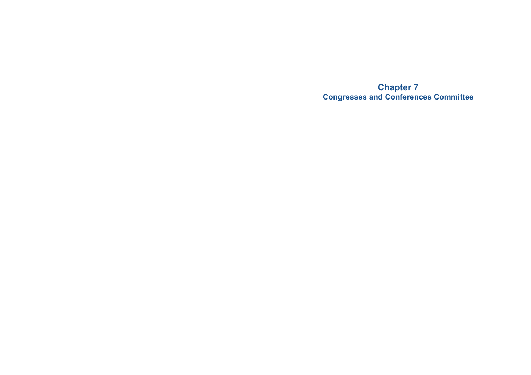**Chapter 7 Congresses and Conferences Committee**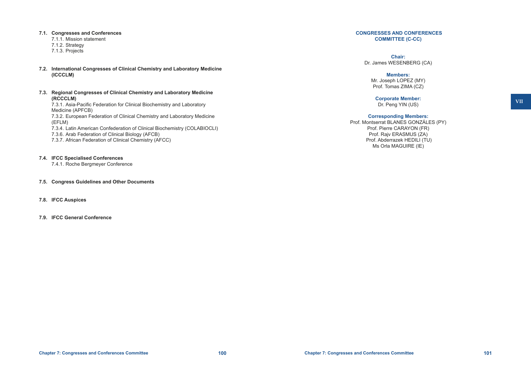#### **7.1. Congresses and Conferences**

7.1.1. Mission statement 7.1.2. Strategy 7.1.3. Projects

- **7.2. International Congresses of Clinical Chemistry and Laboratory Medicine (ICCCLM)**
- **7.3. Regional Congresses of Clinical Chemistry and Laboratory Medicine (RCCCLM)** 7.3.1. Asia-Pacific Federation for Clinical Biochemistry and Laboratory

Medicine (APFCB) 7.3.2. European Federation of Clinical Chemistry and Laboratory Medicine (EFLM)

7.3.4. Latin American Confederation of Clinical Biochemistry (COLABIOCLI)

 7.3.6. Arab Federation of Clinical Biology (AFCB)

- 7.3.7. African Federation of Clinical Chemistry (AFCC)
- **7.4. IFCC Specialised Conferences**

 7.4.1. Roche Bergmeyer Conference

- **7.5. Congress Guidelines and Other Documents**
- **7.8. IFCC Auspices**
- **7.9. IFCC General Conference**

#### **CONGRESSES AND CONFERENCES COMMITTEE (C-CC)**

**Chair:** Dr. James WESENBERG (CA)

# **Members:**

Mr. Joseph LOPEZ (MY) Prof. Tomas ZIMA (CZ)

**Corporate Member:** Dr. Peng YIN (US)

#### **Corresponding Members:**

Prof. Montserrat BLANES GONZÁLES (PY) Prof. Pierre CARAYON (FR) Prof. Rajv ERASMUS (ZA) Prof. Abderrazek HEDILI (TU) Ms Orla MAGUIRE (IE)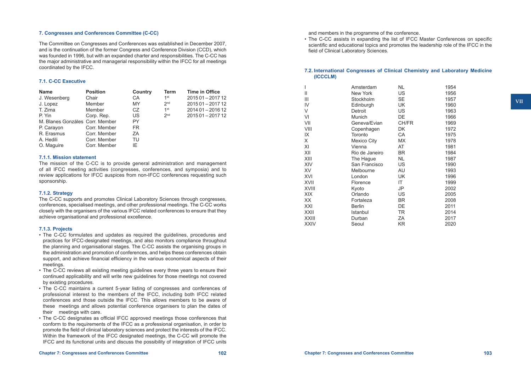#### **7. Congresses and Conferences Committee (C-CC)**

The Committee on Congresses and Conferences was established in December 2007, and is the continuation of the former Congress and Conference Division (CCD), which was founded in 1996, but with an expanded charter and responsibilities. The C-CC has the major administrative and managerial responsibility within the IFCC for all meetings coordinated by the IFCC.

#### **7.1. C-CC Executive**

| <b>Name</b>                     | <b>Position</b> | Country | Term            | <b>Time in Office</b> |
|---------------------------------|-----------------|---------|-----------------|-----------------------|
| J. Wesenberg                    | Chair           | CA      | 1 <sup>st</sup> | 2015 01 - 2017 12     |
| J. Lopez                        | Member          | MY      | 2 <sub>nd</sub> | 2015 01 - 2017 12     |
| T. Zima                         | Member          | CZ.     | 1 <sup>st</sup> | 2014 01 - 2016 12     |
| P. Yin                          | Corp. Rep.      | US      | 2 <sub>nd</sub> | 2015 01 - 2017 12     |
| M. Blanes Gonzáles Corr. Member |                 | PY      |                 |                       |
| P. Carayon                      | Corr. Member    | FR.     |                 |                       |
| R. Erasmus                      | Corr. Member    | ZA      |                 |                       |
| A. Hedili                       | Corr. Member    | TU      |                 |                       |
| O. Maguire                      | Corr. Member    | IE.     |                 |                       |

#### **7.1.1. Mission statement**

The mission of the C-CC is to provide general administration and management of all IFCC meeting activities (congresses, conferences, and symposia) and to review applications for IFCC auspices from non-IFCC conferences requesting such sponsorship.

#### **7.1.2. Strategy**

The C-CC supports and promotes Clinical Laboratory Sciences through congresses, conferences, specialised meetings, and other professional meetings. The C-CC works closely with the organisers of the various IFCC related conferences to ensure that they achieve organisational and professional excellence.

#### **7.1.3. Projects**

- The C-CC formulates and updates as required the guidelines, procedures and practices for IFCC-designated meetings, and also monitors compliance throughout the planning and organisational stages. The C-CC assists the organising groups in the administration and promotion of conferences, and helps these conferences obtain support, and achieve financial efficiency in the various economical aspects of their meetings.
- The C-CC reviews all existing meeting quidelines every three years to ensure their continued applicability and will write new guidelines for those meetings not covered by existing procedures.
- The C-CC maintains a current 5-year listing of congresses and conferences of professional interest to the members of the IFCC, including both IFCC related conferences and those outside the IFCC. This allows members to be aware of these meetings and allows potential conference organisers to plan the dates of their meetings with care.
- The C-CC designates as official IFCC approved meetings those conferences that conform to the requirements of the IFCC as a professional organisation, in order to promote the field of clinical laboratory sciences and protect the interests of the IFCC. Within the framework of the IFCC designated meetings, the C-CC will promote the IFCC and its functional units and discuss the possibility of integration of IFCC units

and members in the programme of the conference.

• The C-CC assists in expanding the list of IFCC Master Conferences on specific scientific and educational topics and promotes the leadership role of the IFCC in the field of Clinical Laboratory Sciences.

# **7.2. International Congresses of Clinical Chemistry and Laboratory Medicine (ICCCLM)**

| I     | Amsterdam      | <b>NL</b> | 1954 |
|-------|----------------|-----------|------|
| П     | New York       | US        | 1956 |
| Ш     | Stockholm      | <b>SE</b> | 1957 |
| IV    | Edinburgh      | UK        | 1960 |
| V     | Detroit        | US        | 1963 |
| VI    | Munich         | DE        | 1966 |
| VII   | Geneva/Evian   | CH/FR     | 1969 |
| VIII  | Copenhagen     | DK        | 1972 |
| IΧ    | Toronto        | CA        | 1975 |
| Χ     | Mexico City    | МX        | 1978 |
| ΧI    | Vienna         | AT        | 1981 |
| XII   | Rio de Janeiro | <b>BR</b> | 1984 |
| XIII  | The Hague      | NL.       | 1987 |
| XIV   | San Francisco  | US        | 1990 |
| XV    | Melbourne      | AU        | 1993 |
| XVI   | London         | UK        | 1996 |
| XVII  | Florence       | ΙT        | 1999 |
| XVIII | Kyoto          | JP        | 2002 |
| XIX   | Orlando        | US        | 2005 |
| XХ    | Fortaleza      | <b>BR</b> | 2008 |
| XXI   | Berlin         | DE        | 2011 |
| XXII  | Istanbul       | <b>TR</b> | 2014 |
| XXIII | Durban         | ΖA        | 2017 |
| XXIV  | Seoul          | KR.       | 2020 |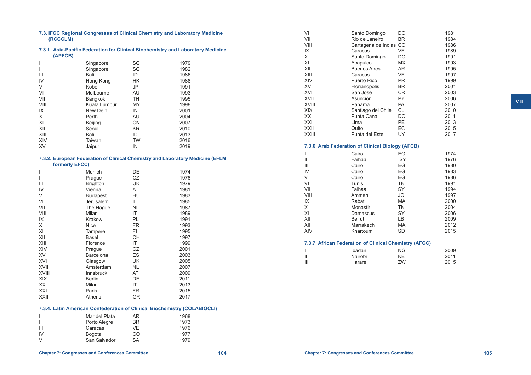| 7.3. IFCC Regional Congresses of Clinical Chemistry and Laboratory Medicine<br>(RCCCLM)     |                                                                                                  |           |      |  |  |
|---------------------------------------------------------------------------------------------|--------------------------------------------------------------------------------------------------|-----------|------|--|--|
| 7.3.1. Asia-Pacific Federation for Clinical Biochemistry and Laboratory Medicine<br>(APFCB) |                                                                                                  |           |      |  |  |
| L                                                                                           | Singapore                                                                                        | SG        | 1979 |  |  |
| Ш                                                                                           | Singapore                                                                                        | SG        | 1982 |  |  |
| III                                                                                         | Bali                                                                                             |           |      |  |  |
|                                                                                             |                                                                                                  | ID        | 1986 |  |  |
| IV                                                                                          | Hong Kong                                                                                        | <b>HK</b> | 1988 |  |  |
| V                                                                                           | Kobe                                                                                             | JP        | 1991 |  |  |
| VI                                                                                          | Melbourne                                                                                        | AU        | 1993 |  |  |
| VII                                                                                         | Bangkok                                                                                          | <b>TH</b> | 1995 |  |  |
| VIII                                                                                        | Kuala Lumpur                                                                                     | MY        | 1998 |  |  |
| IX                                                                                          | New Delhi                                                                                        | IN        | 2001 |  |  |
| X                                                                                           | Perth                                                                                            | AU        | 2004 |  |  |
| XI                                                                                          | <b>Beijing</b>                                                                                   | <b>CN</b> | 2007 |  |  |
| XII                                                                                         | Seoul                                                                                            | <b>KR</b> | 2010 |  |  |
| XIII                                                                                        | Bali                                                                                             | ID        | 2013 |  |  |
| <b>XIV</b>                                                                                  | Taiwan                                                                                           | <b>TW</b> | 2016 |  |  |
| <b>XV</b>                                                                                   | Jaipur                                                                                           | IN        | 2019 |  |  |
|                                                                                             |                                                                                                  |           |      |  |  |
|                                                                                             | 7.3.2. European Federation of Clinical Chemistry and Laboratory Medicine (EFLM<br>formerly EFCC) |           |      |  |  |
| $\overline{\phantom{a}}$                                                                    | Munich                                                                                           | DE        | 1974 |  |  |
| $\mathbf{H}$                                                                                | Prague                                                                                           | CZ        | 1976 |  |  |
| III                                                                                         | <b>Brighton</b>                                                                                  | UK        | 1979 |  |  |
| IV                                                                                          | Vienna                                                                                           | AT        | 1981 |  |  |
| V                                                                                           | <b>Budapest</b>                                                                                  | HU        | 1983 |  |  |
| VI                                                                                          | Jerusalem                                                                                        | IL.       | 1985 |  |  |
| VII                                                                                         | The Hague                                                                                        | <b>NL</b> | 1987 |  |  |
| VIII                                                                                        | Milan                                                                                            | IT        | 1989 |  |  |
| IX                                                                                          | Krakow                                                                                           | PL        |      |  |  |
|                                                                                             |                                                                                                  |           | 1991 |  |  |
| X                                                                                           | Nice                                                                                             | FR.       | 1993 |  |  |
| XI                                                                                          | Tampere                                                                                          | FI.       | 1995 |  |  |
| XII                                                                                         | Basel                                                                                            | CН        | 1997 |  |  |
| XIII                                                                                        | Florence                                                                                         | IT        | 1999 |  |  |
| XIV                                                                                         | Prague                                                                                           | <b>CZ</b> | 2001 |  |  |
| XV                                                                                          | Barcelona                                                                                        | ES        | 2003 |  |  |
| XVI                                                                                         | Glasgow                                                                                          | UK        | 2005 |  |  |
| XVII                                                                                        | Amsterdam                                                                                        | <b>NL</b> | 2007 |  |  |
| XVIII                                                                                       | Innsbruck                                                                                        | AT        | 2009 |  |  |
| <b>XIX</b>                                                                                  | <b>Berlin</b>                                                                                    | DE        | 2011 |  |  |
| XX                                                                                          | Milan                                                                                            | IT.       | 2013 |  |  |
| XXI                                                                                         | Paris                                                                                            | <b>FR</b> | 2015 |  |  |
| XXII                                                                                        | Athens                                                                                           | <b>GR</b> | 2017 |  |  |
|                                                                                             | 7.3.4. Latin American Confederation of Clinical Biochemistry (COLABIOCLI)                        |           |      |  |  |
|                                                                                             |                                                                                                  |           |      |  |  |
| L                                                                                           | Mar del Plata                                                                                    | AR        | 1968 |  |  |
| Ш                                                                                           | Porto Alegre                                                                                     | BR        | 1973 |  |  |
| Ш                                                                                           | Caracas                                                                                          | VE        | 1976 |  |  |
| IV                                                                                          | Bogota                                                                                           | CO        | 1977 |  |  |
| V                                                                                           | San Salvador                                                                                     | SA        | 1979 |  |  |

| VI    | Santo Domingo                                          | DO        | 1981 |
|-------|--------------------------------------------------------|-----------|------|
| VII   | Rio de Janeiro                                         | BR        | 1984 |
| VIII  | Cartagena de Indias CO                                 |           | 1986 |
| IX    | Caracas                                                | <b>VE</b> | 1989 |
| Χ     | Santo Domingo                                          | <b>DO</b> | 1991 |
| ΧI    | Acapulco                                               | <b>MX</b> | 1993 |
|       |                                                        |           |      |
| XII   | <b>Buenos Aires</b>                                    | <b>AR</b> | 1995 |
| XIII  | Caracas                                                | <b>VE</b> | 1997 |
| XIV   | <b>Puerto Rico</b>                                     | <b>PR</b> | 1999 |
| XV    | Florianopolis                                          | <b>BR</b> | 2001 |
| XVI   | San José                                               | <b>CR</b> | 2003 |
| XVII  | Asunción                                               | PY        | 2006 |
| XVIII | Panama                                                 | PA        | 2007 |
| XIX   | Santiago del Chile                                     | <b>CL</b> | 2010 |
| ХX    | Punta Cana                                             | DO        | 2011 |
| XXI   | Lima                                                   | PE        | 2013 |
| XXII  | Quito                                                  | EC        | 2015 |
| XXIII | Punta del Este                                         | UY        | 2017 |
|       | 7.3.6. Arab Federation of Clinical Biology (AFCB)      |           |      |
| I     | Cairo                                                  | EG        | 1974 |
| Ш     | Faihaa                                                 | SY        | 1976 |
| Ш     | Cairo                                                  | EG        | 1980 |
| IV    |                                                        | EG        |      |
|       | Cairo                                                  |           | 1983 |
| V     | Cairo                                                  | EG        | 1986 |
| VI    | Tunis                                                  | <b>TN</b> | 1991 |
| VII   | Faihaa                                                 | SY        | 1994 |
| VIII  | Amman                                                  | <b>JO</b> | 1997 |
| IX    | Rabat                                                  | <b>MA</b> | 2000 |
| Χ     | Monastir                                               | <b>TN</b> | 2004 |
| ΧI    | Damascus                                               | SY        | 2006 |
| XII   | Beirut                                                 | LB.       | 2009 |
| XII   | Marrakech                                              | <b>MA</b> | 2012 |
| XIV   | Khartoum                                               | <b>SD</b> | 2015 |
|       | 7.3.7. African Federation of Clinical Chemistry (AFCC) |           |      |
| I     | Ibadan                                                 | ΝG        | 2009 |
| Ш     | Nairobi                                                | <b>KE</b> | 2011 |
| Ш     | Harare                                                 | ZW        | 2015 |
|       |                                                        |           |      |
|       |                                                        |           |      |
|       |                                                        |           |      |
|       |                                                        |           |      |
|       |                                                        |           |      |
|       |                                                        |           |      |
|       |                                                        |           |      |
|       |                                                        |           |      |
|       |                                                        |           |      |
|       |                                                        |           |      |
|       |                                                        |           |      |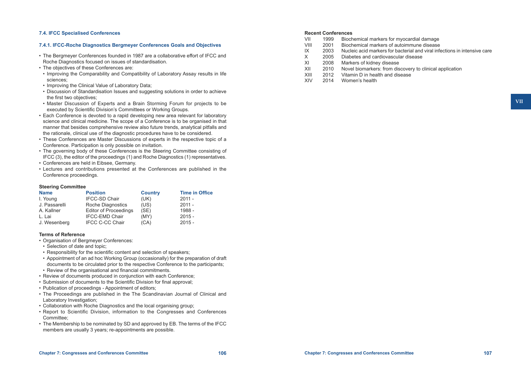#### **7.4. IFCC Specialised Conferences**

# **7.4.1. IFCC-Roche Diagnostics Bergmeyer Conferences Goals and Objectives**

- • The Bergmeyer Conferences founded in 1987 are a collaborative effort of IFCC and Roche Diagnostics focused on issues of standardisation.
- The objectives of these Conferences are:
- • Improving the Comparability and Compatibility of Laboratory Assay results in life sciences;
- Improving the Clinical Value of Laboratory Data;
- • Discussion of Standardisation Issues and suggesting solutions in order to achieve the first two objectives;
- • Master Discussion of Experts and a Brain Storming Forum for projects to be executed by Scientific Division's Committees or Working Groups.
- Each Conference is devoted to a rapid developing new area relevant for laboratory science and clinical medicine. The scope of a Conference is to be organised in that manner that besides comprehensive review also future trends, analytical pitfalls and the rationale, clinical use of the diagnostic procedures have to be considered.
- • These Conferences are Master Discussions of experts in the respective topic of a Conference. Participation is only possible on invitation.
- • The governing body of these Conferences is the Steering Committee consisting of IFCC (3), the editor of the proceedings (1) and Roche Diagnostics (1) representatives.
- • Conferences are held in Eibsee, Germany.
- • Lectures and contributions presented at the Conferences are published in the Conference proceedings.

#### **Steering Committee**

| <b>Name</b>   | <b>Position</b>              | <b>Country</b> | <b>Time in Office</b> |
|---------------|------------------------------|----------------|-----------------------|
| I. Young      | <b>IFCC-SD Chair</b>         | (UK)           | $2011 -$              |
| J. Passarelli | Roche Diagnostics            | (US)           | $2011 -$              |
| A. Kallner    | <b>Editor of Proceedings</b> | (SE)           | 1988 -                |
| L. Lai        | <b>IFCC-EMD Chair</b>        | (MY)           | $2015 -$              |
| J. Wesenberg  | <b>IFCC C-CC Chair</b>       | (CA)           | $2015 -$              |

#### **Terms of Reference**

- • Organisation of Bergmeyer Conferences:
- Selection of date and topic:
- Responsibility for the scientific content and selection of speakers:
- • Appointment of an ad hoc Working Group (occasionally) for the preparation of draft documents to be circulated prior to the respective Conference to the participants;
- Review of the organisational and financial commitments.
- Review of documents produced in conjunction with each Conference;
- • Submission of documents to the Scientific Division for final approval;
- Publication of proceedings Appointment of editors:
- The Proceedings are published in the The Scandinavian Journal of Clinical and Laboratory Investigation;
- Collaboration with Roche Diagnostics and the local organising group;
- Report to Scientific Division, information to the Congresses and Conferences Committee;
- The Membership to be nominated by SD and approved by EB. The terms of the IFCC members are usually 3 years; re-appointments are possible.

# **Recent Conferences**<br>
VII 1999 Bioch

- VII 1999 Biochemical markers for myocardial damage<br>VIII 2001 Biochemical markers of autoimmune disease
- Biochemical markers of autoimmune disease
- $IX$  2003 Nucleic acid markers for bacterial and viral infections in intensive care  $X$  2005 Diabetes and cardiovascular disease
- X 2005 Diabetes and cardiovascular disease<br>XI 2008 Markers of kidney disease
- XI 2008 Markers of kidney disease<br>XII 2010 Novel biomarkers: from dis
- XII 2010 Novel biomarkers: from discovery to clinical application<br>XIII 2012 Vitamin D in health and disease
- XIII 2012 Vitamin D in health and disease<br>XIV 2014 Women's health
- Women's health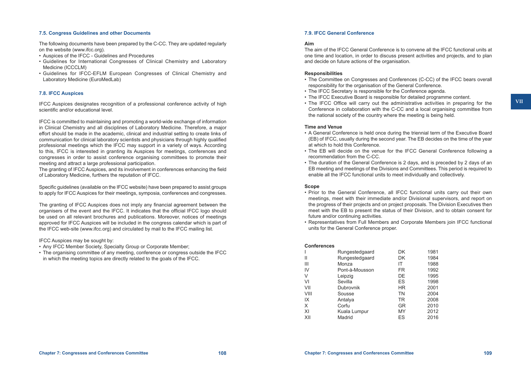#### **7.5. Congress Guidelines and other Documents**

The following documents have been prepared by the C-CC. They are updated regularly on the website (www.ifcc.org).

- • Auspices of the IFCC Guidelines and Procedures
- • Guidelines for International Congresses of Clinical Chemistry and Laboratory Medicine (ICCCLM)
- • Guidelines for IFCC-EFLM European Congresses of Clinical Chemistry and Laboratory Medicine (EuroMedLab)

#### **7.8. IFCC Auspices**

IFCC Auspices designates recognition of a professional conference activity of high scientific and/or educational level.

IFCC is committed to maintaining and promoting a world-wide exchange of information in Clinical Chemistry and all disciplines of Laboratory Medicine. Therefore, a major effort should be made in the academic, clinical and industrial setting to create links of communication for clinical laboratory scientists and physicians through highly qualified professional meetings which the IFCC may support in a variety of ways. According to this, IFCC is interested in granting its Auspices for meetings, conferences and congresses in order to assist conference organising committees to promote their meeting and attract a large professional participation.

The granting of IFCC Auspices, and its involvement in conferences enhancing the field of Laboratory Medicine, furthers the reputation of IFCC.

Specific guidelines (available on the IFCC website) have been prepared to assist groups to apply for IFCC Auspices for their meetings, symposia, conferences and congresses.

The granting of IFCC Auspices does not imply any financial agreement between the organisers of the event and the IFCC. It indicates that the official IFCC logo should be used on all relevant brochures and publications. Moreover, notices of meetings approved for IFCC Auspices will be included in the congress calendar which is part of the IFCC web-site (www.ifcc.org) and circulated by mail to the IFCC mailing list.

#### IFCC Auspices may be sought by:

- Any IFCC Member Society, Specialty Group or Corporate Member;
- The organising committee of any meeting, conference or congress outside the IFCC in which the meeting topics are directly related to the goals of the IFCC.

#### **7.9. IFCC General Conference**

#### **Aim**

The aim of the IFCC General Conference is to convene all the IFCC functional units at one time and location, in order to discuss present activities and projects, and to plan and decide on future actions of the organisation.

#### **Responsibilities**

- The Committee on Congresses and Conferences (C-CC) of the IFCC bears overall responsibility for the organisation of the General Conference.
- The IFCC Secretary is responsible for the Conference agenda.
- • The IFCC Executive Board is responsible for detailed programme content.
- The IFCC Office will carry out the administrative activities in preparing for the Conference in collaboration with the C-CC and a local organising committee from the national society of the country where the meeting is being held.

#### **Time and Venue**

- • A General Conference is held once during the triennial term of the Executive Board (EB) of IFCC, usually during the second year. The EB decides on the time of the year at which to hold this Conference.
- The EB will decide on the venue for the IFCC General Conference following a recommendation from the C-CC.
- The duration of the General Conference is 2 days, and is preceded by 2 days of an EB meeting and meetings of the Divisions and Committees. This period is required to enable all the IFCC functional units to meet individually and collectively.

#### **Scope**

- • Prior to the General Conference, all IFCC functional units carry out their own meetings, meet with their immediate and/or Divisional supervisors, and report on the progress of their projects and on project proposals. The Division Executives then meet with the EB to present the status of their Division, and to obtain consent for future and/or continuing activities.
- • Representatives from Full Members and Corporate Members join IFCC functional units for the General Conference proper.

#### **Conferences**

| ------------             |                |           |      |
|--------------------------|----------------|-----------|------|
| $\overline{\phantom{a}}$ | Rungestedgaard | DK        | 1981 |
| $\mathsf{II}$            | Rungestedgaard | <b>DK</b> | 1984 |
| $\mathbf{III}$           | Monza          | ΙT        | 1988 |
| IV                       | Pont-à-Mousson | FR        | 1992 |
| V                        | Leipzig        | DE.       | 1995 |
| VI                       | Sevilla        | ES        | 1998 |
| VII                      | Dubrovnik      | HR.       | 2001 |
| VIII                     | Sousse         | <b>TN</b> | 2004 |
| IX                       | Antalya        | <b>TR</b> | 2008 |
| X                        | Corfu          | <b>GR</b> | 2010 |
| XI                       | Kuala Lumpur   | MY        | 2012 |
| XII                      | Madrid         | ES        | 2016 |
|                          |                |           |      |

**VII**